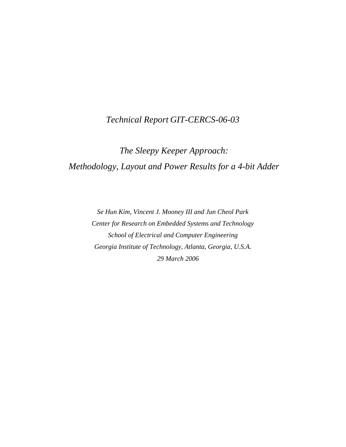## *Technical Report GIT-CERCS-06-03*

# *The Sleepy Keeper Approach: Methodology, Layout and Power Results for a 4-bit Adder*

*Se Hun Kim, Vincent J. Mooney III and Jun Cheol Park Center for Research on Embedded Systems and Technology School of Electrical and Computer Engineering Georgia Institute of Technology, Atlanta, Georgia, U.S.A. 29 March 2006*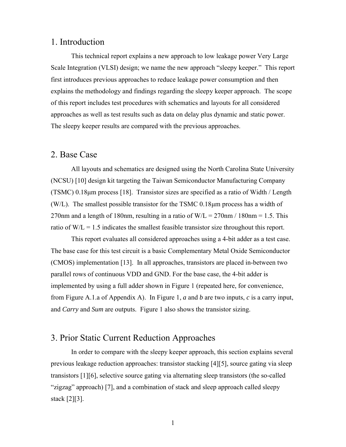## 1. Introduction

This technical report explains a new approach to low leakage power Very Large Scale Integration (VLSI) design; we name the new approach "sleepy keeper." This report first introduces previous approaches to reduce leakage power consumption and then explains the methodology and findings regarding the sleepy keeper approach. The scope of this report includes test procedures with schematics and layouts for all considered approaches as well as test results such as data on delay plus dynamic and static power. The sleepy keeper results are compared with the previous approaches.

### 2. Base Case

All layouts and schematics are designed using the North Carolina State University (NCSU) [10] design kit targeting the Taiwan Semiconductor Manufacturing Company (TSMC) 0.18μm process [18]. Transistor sizes are specified as a ratio of Width / Length (W/L). The smallest possible transistor for the TSMC  $0.18 \mu m$  process has a width of 270nm and a length of 180nm, resulting in a ratio of  $W/L = 270$ nm / 180nm = 1.5. This ratio of  $W/L = 1.5$  indicates the smallest feasible transistor size throughout this report.

This report evaluates all considered approaches using a 4-bit adder as a test case. The base case for this test circuit is a basic Complementary Metal Oxide Semiconductor (CMOS) implementation [13]. In all approaches, transistors are placed in-between two parallel rows of continuous VDD and GND. For the base case, the 4-bit adder is implemented by using a full adder shown in Figure 1 (repeated here, for convenience, from Figure A.1.a of Appendix A). In Figure 1, *a* and *b* are two inputs, *c* is a carry input, and *Carry* and *Sum* are outputs. Figure 1 also shows the transistor sizing.

## 3. Prior Static Current Reduction Approaches

In order to compare with the sleepy keeper approach, this section explains several previous leakage reduction approaches: transistor stacking [4][5], source gating via sleep transistors [1][6], selective source gating via alternating sleep transistors (the so-called "zigzag" approach) [7], and a combination of stack and sleep approach called sleepy stack [2][3].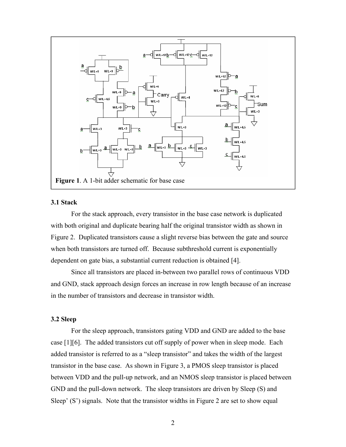

#### **3.1 Stack**

For the stack approach, every transistor in the base case network is duplicated with both original and duplicate bearing half the original transistor width as shown in Figure 2. Duplicated transistors cause a slight reverse bias between the gate and source when both transistors are turned off. Because subthreshold current is exponentially dependent on gate bias, a substantial current reduction is obtained [4].

Since all transistors are placed in-between two parallel rows of continuous VDD and GND, stack approach design forces an increase in row length because of an increase in the number of transistors and decrease in transistor width.

#### **3.2 Sleep**

For the sleep approach, transistors gating VDD and GND are added to the base case [1][6]. The added transistors cut off supply of power when in sleep mode. Each added transistor is referred to as a "sleep transistor" and takes the width of the largest transistor in the base case. As shown in Figure 3, a PMOS sleep transistor is placed between VDD and the pull-up network, and an NMOS sleep transistor is placed between GND and the pull-down network. The sleep transistors are driven by Sleep (S) and Sleep' (S') signals. Note that the transistor widths in Figure 2 are set to show equal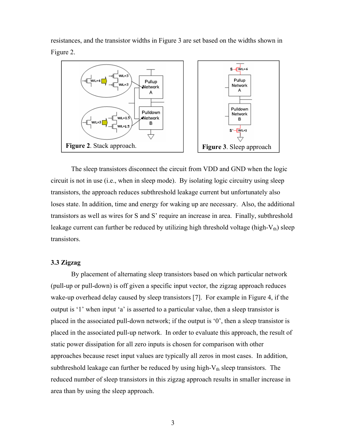resistances, and the transistor widths in Figure 3 are set based on the widths shown in Figure 2.



The sleep transistors disconnect the circuit from VDD and GND when the logic circuit is not in use (i.e., when in sleep mode). By isolating logic circuitry using sleep transistors, the approach reduces subthreshold leakage current but unfortunately also loses state. In addition, time and energy for waking up are necessary. Also, the additional transistors as well as wires for S and S' require an increase in area. Finally, subthreshold leakage current can further be reduced by utilizing high threshold voltage (high- $V_{th}$ ) sleep transistors.

#### **3.3 Zigzag**

By placement of alternating sleep transistors based on which particular network (pull-up or pull-down) is off given a specific input vector, the zigzag approach reduces wake-up overhead delay caused by sleep transistors [7]. For example in Figure 4, if the output is '1' when input 'a' is asserted to a particular value, then a sleep transistor is placed in the associated pull-down network; if the output is '0', then a sleep transistor is placed in the associated pull-up network. In order to evaluate this approach, the result of static power dissipation for all zero inputs is chosen for comparison with other approaches because reset input values are typically all zeros in most cases. In addition, subthreshold leakage can further be reduced by using high- $V_{th}$  sleep transistors. The reduced number of sleep transistors in this zigzag approach results in smaller increase in area than by using the sleep approach.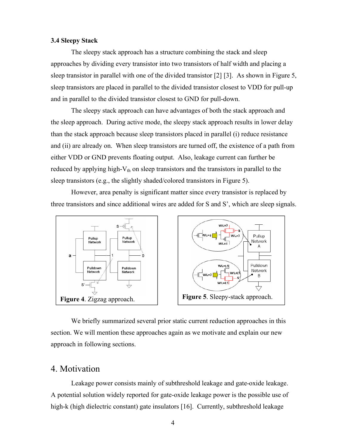#### **3.4 Sleepy Stack**

The sleepy stack approach has a structure combining the stack and sleep approaches by dividing every transistor into two transistors of half width and placing a sleep transistor in parallel with one of the divided transistor [2] [3]. As shown in Figure 5, sleep transistors are placed in parallel to the divided transistor closest to VDD for pull-up and in parallel to the divided transistor closest to GND for pull-down.

The sleepy stack approach can have advantages of both the stack approach and the sleep approach. During active mode, the sleepy stack approach results in lower delay than the stack approach because sleep transistors placed in parallel (i) reduce resistance and (ii) are already on. When sleep transistors are turned off, the existence of a path from either VDD or GND prevents floating output. Also, leakage current can further be reduced by applying high- $V_{th}$  on sleep transistors and the transistors in parallel to the sleep transistors (e.g., the slightly shaded/colored transistors in Figure 5).

However, area penalty is significant matter since every transistor is replaced by three transistors and since additional wires are added for S and S', which are sleep signals.



We briefly summarized several prior static current reduction approaches in this section. We will mention these approaches again as we motivate and explain our new approach in following sections.

### 4. Motivation

Leakage power consists mainly of subthreshold leakage and gate-oxide leakage. A potential solution widely reported for gate-oxide leakage power is the possible use of high-k (high dielectric constant) gate insulators [16]. Currently, subthreshold leakage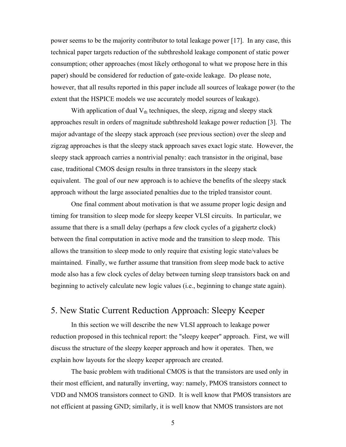power seems to be the majority contributor to total leakage power [17]. In any case, this technical paper targets reduction of the subthreshold leakage component of static power consumption; other approaches (most likely orthogonal to what we propose here in this paper) should be considered for reduction of gate-oxide leakage. Do please note, however, that all results reported in this paper include all sources of leakage power (to the extent that the HSPICE models we use accurately model sources of leakage).

With application of dual  $V_{th}$  techniques, the sleep, zigzag and sleepy stack approaches result in orders of magnitude subthreshold leakage power reduction [3]. The major advantage of the sleepy stack approach (see previous section) over the sleep and zigzag approaches is that the sleepy stack approach saves exact logic state. However, the sleepy stack approach carries a nontrivial penalty: each transistor in the original, base case, traditional CMOS design results in three transistors in the sleepy stack equivalent. The goal of our new approach is to achieve the benefits of the sleepy stack approach without the large associated penalties due to the tripled transistor count.

One final comment about motivation is that we assume proper logic design and timing for transition to sleep mode for sleepy keeper VLSI circuits. In particular, we assume that there is a small delay (perhaps a few clock cycles of a gigahertz clock) between the final computation in active mode and the transition to sleep mode. This allows the transition to sleep mode to only require that existing logic state/values be maintained. Finally, we further assume that transition from sleep mode back to active mode also has a few clock cycles of delay between turning sleep transistors back on and beginning to actively calculate new logic values (i.e., beginning to change state again).

## 5. New Static Current Reduction Approach: Sleepy Keeper

In this section we will describe the new VLSI approach to leakage power reduction proposed in this technical report: the "sleepy keeper" approach. First, we will discuss the structure of the sleepy keeper approach and how it operates. Then, we explain how layouts for the sleepy keeper approach are created.

The basic problem with traditional CMOS is that the transistors are used only in their most efficient, and naturally inverting, way: namely, PMOS transistors connect to VDD and NMOS transistors connect to GND. It is well know that PMOS transistors are not efficient at passing GND; similarly, it is well know that NMOS transistors are not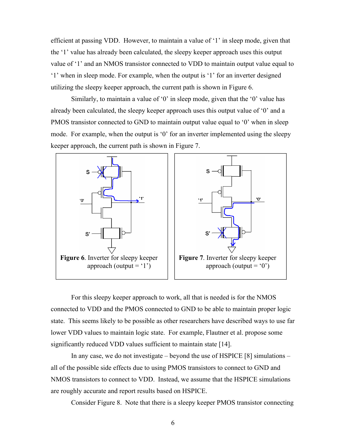efficient at passing VDD. However, to maintain a value of '1' in sleep mode, given that the '1' value has already been calculated, the sleepy keeper approach uses this output value of '1' and an NMOS transistor connected to VDD to maintain output value equal to '1' when in sleep mode. For example, when the output is '1' for an inverter designed utilizing the sleepy keeper approach, the current path is shown in Figure 6.

Similarly, to maintain a value of '0' in sleep mode, given that the '0' value has already been calculated, the sleepy keeper approach uses this output value of '0' and a PMOS transistor connected to GND to maintain output value equal to '0' when in sleep mode. For example, when the output is '0' for an inverter implemented using the sleepy keeper approach, the current path is shown in Figure 7.



For this sleepy keeper approach to work, all that is needed is for the NMOS connected to VDD and the PMOS connected to GND to be able to maintain proper logic state. This seems likely to be possible as other researchers have described ways to use far lower VDD values to maintain logic state. For example, Flautner et al. propose some significantly reduced VDD values sufficient to maintain state [14].

In any case, we do not investigate – beyond the use of HSPICE [8] simulations – all of the possible side effects due to using PMOS transistors to connect to GND and NMOS transistors to connect to VDD. Instead, we assume that the HSPICE simulations are roughly accurate and report results based on HSPICE.

Consider Figure 8. Note that there is a sleepy keeper PMOS transistor connecting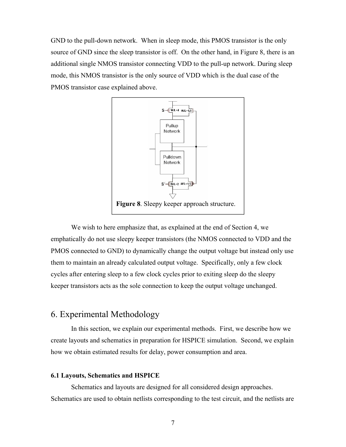GND to the pull-down network. When in sleep mode, this PMOS transistor is the only source of GND since the sleep transistor is off. On the other hand, in Figure 8, there is an additional single NMOS transistor connecting VDD to the pull-up network. During sleep mode, this NMOS transistor is the only source of VDD which is the dual case of the PMOS transistor case explained above.



We wish to here emphasize that, as explained at the end of Section 4, we emphatically do not use sleepy keeper transistors (the NMOS connected to VDD and the PMOS connected to GND) to dynamically change the output voltage but instead only use them to maintain an already calculated output voltage. Specifically, only a few clock cycles after entering sleep to a few clock cycles prior to exiting sleep do the sleepy keeper transistors acts as the sole connection to keep the output voltage unchanged.

## 6. Experimental Methodology

In this section, we explain our experimental methods. First, we describe how we create layouts and schematics in preparation for HSPICE simulation. Second, we explain how we obtain estimated results for delay, power consumption and area.

#### **6.1 Layouts, Schematics and HSPICE**

Schematics and layouts are designed for all considered design approaches. Schematics are used to obtain netlists corresponding to the test circuit, and the netlists are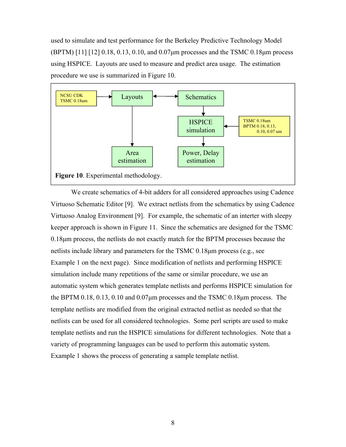used to simulate and test performance for the Berkeley Predictive Technology Model (BPTM) [11] [12] 0.18, 0.13, 0.10, and 0.07μm processes and the TSMC 0.18μm process using HSPICE. Layouts are used to measure and predict area usage. The estimation procedure we use is summarized in Figure 10.



We create schematics of 4-bit adders for all considered approaches using Cadence Virtuoso Schematic Editor [9]. We extract netlists from the schematics by using Cadence Virtuoso Analog Environment [9]. For example, the schematic of an interter with sleepy keeper approach is shown in Figure 11. Since the schematics are designed for the TSMC 0.18μm process, the netlists do not exactly match for the BPTM processes because the netlists include library and parameters for the TSMC 0.18μm process (e.g., see Example 1 on the next page). Since modification of netlists and performing HSPICE simulation include many repetitions of the same or similar procedure, we use an automatic system which generates template netlists and performs HSPICE simulation for the BPTM 0.18, 0.13, 0.10 and 0.07μm processes and the TSMC 0.18μm process. The template netlists are modified from the original extracted netlist as needed so that the netlists can be used for all considered technologies. Some perl scripts are used to make template netlists and run the HSPICE simulations for different technologies. Note that a variety of programming languages can be used to perform this automatic system. Example 1 shows the process of generating a sample template netlist.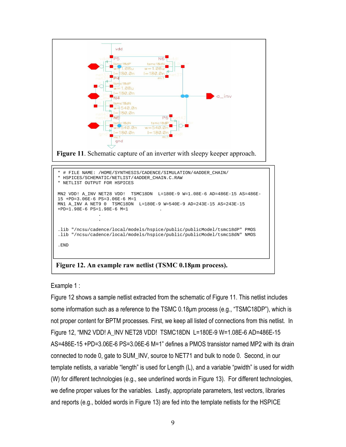



**Figure 12. An example raw netlist (TSMC 0.18μm process).**

Example 1 :

Figure 12 shows a sample netlist extracted from the schematic of Figure 11. This netlist includes some information such as a reference to the TSMC 0.18μm process (e.g., "TSMC18DP"), which is not proper content for BPTM processes. First, we keep all listed of connections from this netlist. In Figure 12, "MN2 VDD! A\_INV NET28 VDD! TSMC18DN L=180E-9 W=1.08E-6 AD=486E-15 AS=486E-15 +PD=3.06E-6 PS=3.06E-6 M=1" defines a PMOS transistor named MP2 with its drain connected to node 0, gate to SUM\_INV, source to NET71 and bulk to node 0. Second, in our template netlists, a variable "length" is used for Length (L), and a variable "pwidth" is used for width (W) for different technologies (e.g., see underlined words in Figure 13). For different technologies, we define proper values for the variables. Lastly, appropriate parameters, test vectors, libraries and reports (e.g., bolded words in Figure 13) are fed into the template netlists for the HSPICE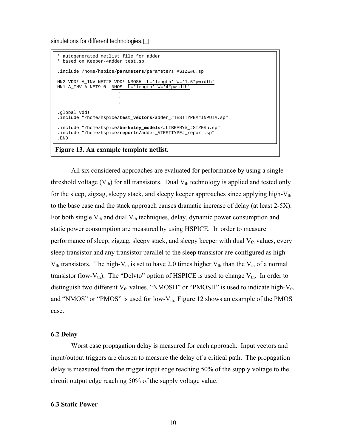simulations for different technologies.

```
* autogenerated netlist file for adder
* based on Keeper-4adder test.sp
.include /home/hspice/parameters/parameters_#SIZE#u.sp
MN2 VDD! A_INV NET28 VDD! NMOSH L='length' W='1.5*pwidth'
MN1 A_INV A NET9 0 NMOS L='length' W='4*pwidth'
                      .
                      .
                       . 
.global vdd!
.include "/home/hspice/test_vectors/adder_#TESTTYPE##INPUT#.sp"
.include "/home/hspice/berkeley_models/#LIBRARY#_#SIZE#u.sp"
.include "/home/hspice/reports/adder_#TESTTYPE#_report.sp"
.END
```
#### **Figure 13. An example template netlist.**

All six considered approaches are evaluated for performance by using a single threshold voltage  $(V_{th})$  for all transistors. Dual  $V_{th}$  technology is applied and tested only for the sleep, zigzag, sleepy stack, and sleepy keeper approaches since applying high- $V_{th}$ to the base case and the stack approach causes dramatic increase of delay (at least 2-5X). For both single  $V_{th}$  and dual  $V_{th}$  techniques, delay, dynamic power consumption and static power consumption are measured by using HSPICE. In order to measure performance of sleep, zigzag, sleepy stack, and sleepy keeper with dual  $V_{th}$  values, every sleep transistor and any transistor parallel to the sleep transistor are configured as high- $V_{th}$  transistors. The high-V<sub>th</sub> is set to have 2.0 times higher V<sub>th</sub> than the V<sub>th</sub> of a normal transistor (low- $V_{th}$ ). The "Delvto" option of HSPICE is used to change  $V_{th}$ . In order to distinguish two different  $V_{th}$  values, "NMOSH" or "PMOSH" is used to indicate high- $V_{th}$ and "NMOS" or "PMOS" is used for low- $V_{th}$ . Figure 12 shows an example of the PMOS case.

#### **6.2 Delay**

Worst case propagation delay is measured for each approach. Input vectors and input/output triggers are chosen to measure the delay of a critical path. The propagation delay is measured from the trigger input edge reaching 50% of the supply voltage to the circuit output edge reaching 50% of the supply voltage value.

#### **6.3 Static Power**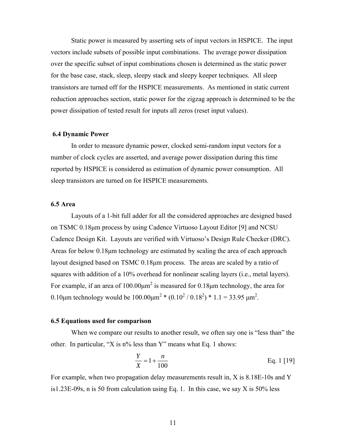Static power is measured by asserting sets of input vectors in HSPICE. The input vectors include subsets of possible input combinations. The average power dissipation over the specific subset of input combinations chosen is determined as the static power for the base case, stack, sleep, sleepy stack and sleepy keeper techniques. All sleep transistors are turned off for the HSPICE measurements. As mentioned in static current reduction approaches section, static power for the zigzag approach is determined to be the power dissipation of tested result for inputs all zeros (reset input values).

#### **6.4 Dynamic Power**

In order to measure dynamic power, clocked semi-random input vectors for a number of clock cycles are asserted, and average power dissipation during this time reported by HSPICE is considered as estimation of dynamic power consumption. All sleep transistors are turned on for HSPICE measurements.

#### **6.5 Area**

Layouts of a 1-bit full adder for all the considered approaches are designed based on TSMC 0.18μm process by using Cadence Virtuoso Layout Editor [9] and NCSU Cadence Design Kit. Layouts are verified with Virtuoso's Design Rule Checker (DRC). Areas for below 0.18μm technology are estimated by scaling the area of each approach layout designed based on TSMC 0.18μm process. The areas are scaled by a ratio of squares with addition of a 10% overhead for nonlinear scaling layers (i.e., metal layers). For example, if an area of  $100.00 \mu m^2$  is measured for 0.18 km technology, the area for 0.10μm technology would be  $100.00 \mu m^2$  \*  $(0.10^2 / 0.18^2)$  \* 1.1 = 33.95 μm<sup>2</sup>.

#### **6.5 Equations used for comparison**

When we compare our results to another result, we often say one is "less than" the other. In particular, "X is  $n\%$  less than Y" means what Eq. 1 shows:

$$
\frac{Y}{X} = 1 + \frac{n}{100}
$$
 Eq. 1 [19]

For example, when two propagation delay measurements result in, X is 8.18E-10s and Y is1.23E-09s, n is 50 from calculation using Eq. 1. In this case, we say X is 50% less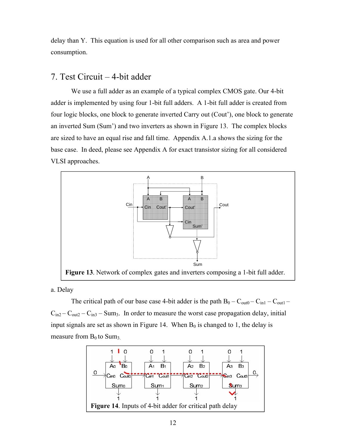delay than Y. This equation is used for all other comparison such as area and power consumption.

## 7. Test Circuit – 4-bit adder

We use a full adder as an example of a typical complex CMOS gate. Our 4-bit adder is implemented by using four 1-bit full adders. A 1-bit full adder is created from four logic blocks, one block to generate inverted Carry out (Cout'), one block to generate an inverted Sum (Sum') and two inverters as shown in Figure 13. The complex blocks are sized to have an equal rise and fall time. Appendix A.1.a shows the sizing for the base case. In deed, please see Appendix A for exact transistor sizing for all considered VLSI approaches.



a. Delay

The critical path of our base case 4-bit adder is the path  $B_0 - C_{\text{out}} - C_{\text{in}} - C_{\text{out}} - C_{\text{out}}$  $C_{\text{in2}} - C_{\text{out2}} - C_{\text{in3}} - S_{\text{um3}}$ . In order to measure the worst case propagation delay, initial input signals are set as shown in Figure 14. When  $B_0$  is changed to 1, the delay is measure from  $B_0$  to Sum<sub>3</sub>.

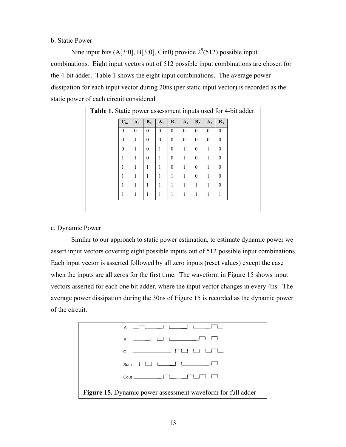b. Static Power

Nine input bits (A[3:0], B[3:0], Cin0) provide  $2^{9}(512)$  possible input combinations. Eight input vectors out of 512 possible input combinations are chosen for the 4-bit adder. Table 1 shows the eight input combinations. The average power dissipation for each input vector during 20ns (per static input vector) is recorded as the static power of each circuit considered.

| Table 1. Static power assessment inputs used for 4-bit adder. |          |          |          |                |          |          |                |              |          |  |
|---------------------------------------------------------------|----------|----------|----------|----------------|----------|----------|----------------|--------------|----------|--|
|                                                               | $C_{in}$ | $A_0$    | $B_0$    | A <sub>1</sub> | $B_1$    | $A_2$    | B <sub>2</sub> | $A_3$        | $B_3$    |  |
|                                                               | $\theta$ | $\theta$ | $\theta$ | $\theta$       | $\theta$ | $\theta$ | $\theta$       | $\Omega$     | $\theta$ |  |
|                                                               | $\Omega$ | 1        | $\Omega$ | $\Omega$       | $\theta$ | $\theta$ | $\Omega$       | $\Omega$     | $\Omega$ |  |
|                                                               | $\theta$ | 1        | $\theta$ | 1              | $\theta$ | 1        | $\theta$       | 1            | $\theta$ |  |
|                                                               | 1        | 1        | $\theta$ | 1              | $\Omega$ | 1        | $\Omega$       | $\mathbf{1}$ | $\theta$ |  |
|                                                               | 1        | 1        | 1        | 1              | $\theta$ | 1        | $\Omega$       | 1            | $\theta$ |  |
|                                                               | 1        | 1        | 1        | 1              | 1        | 1        | $\theta$       | 1            | $\theta$ |  |
|                                                               | 1        | 1        | 1        | 1              | 1        | 1        | 1              | $\mathbf{1}$ | $\theta$ |  |
|                                                               | 1        | 1        | 1        | 1              | 1        | 1        | 1              | 1            | 1        |  |

c. Dynamic Power

Similar to our approach to static power estimation, to estimate dynamic power we assert input vectors covering eight possible inputs out of 512 possible input combinations. Each input vector is asserted followed by all zero inputs (reset values) except the case when the inputs are all zeros for the first time. The waveform in Figure 15 shows input vectors asserted for each one bit adder, where the input vector changes in every 4ns. The average power dissipation during the 30ns of Figure 15 is recorded as the dynamic power of the circuit.

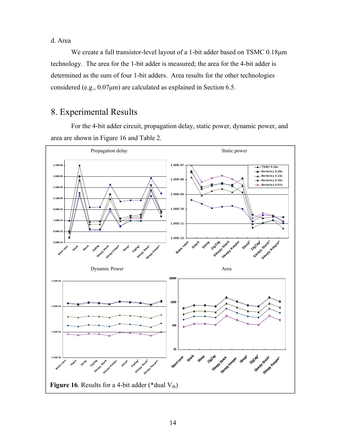d. Area

We create a full transistor-level layout of a 1-bit adder based on TSMC 0.18μm technology. The area for the 1-bit adder is measured; the area for the 4-bit adder is determined as the sum of four 1-bit adders. Area results for the other technologies considered (e.g., 0.07μm) are calculated as explained in Section 6.5.

## 8. Experimental Results

For the 4-bit adder circuit, propagation delay, static power, dynamic power, and area are shown in Figure 16 and Table 2.

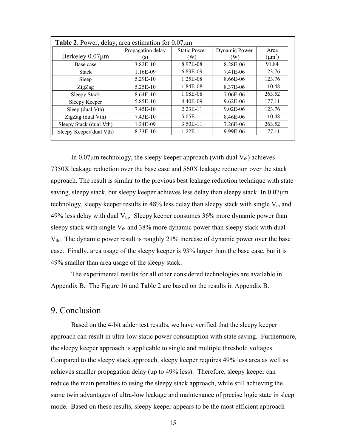| <b>Table 2.</b> Power, delay, area estimation for $0.07\mu m$ |                   |                     |               |             |  |  |  |
|---------------------------------------------------------------|-------------------|---------------------|---------------|-------------|--|--|--|
|                                                               | Propagation delay | <b>Static Power</b> | Dynamic Power | Area        |  |  |  |
| Berkeley $0.07 \mu m$                                         | (s)               | W)                  | (W)           | $(\mu m^2)$ |  |  |  |
| Base case                                                     | $3.82E-10$        | 8.97E-08            | 8.28E-06      | 91.84       |  |  |  |
| <b>Stack</b>                                                  | 1.16E-09          | 6.83E-09            | 7.41E-06      | 123.76      |  |  |  |
| Sleep                                                         | 5.29E-10          | 1.25E-08            | 8.66E-06      | 123.76      |  |  |  |
| ZigZag                                                        | $5.25E-10$        | 1.84E-08            | 8.37E-06      | 110.48      |  |  |  |
| <b>Sleepy Stack</b>                                           | 8.64E-10          | 1.08E-08            | 7.06E-06      | 263.52      |  |  |  |
| Sleepy Keeper                                                 | 5.85E-10          | 4.40E-09            | $9.62E - 06$  | 177.11      |  |  |  |
| Sleep (dual Vth)                                              | $7.45E-10$        | $2.23E-11$          | $9.02E - 06$  | 123.76      |  |  |  |
| ZigZag (dual Vth)                                             | 7.43E-10          | 5.05E-11            | 8.46E-06      | 110.48      |  |  |  |
| Sleepy Stack (dual Vth)                                       | 1.24E-09          | 3.50E-11            | 7.26E-06      | 263.52      |  |  |  |
| Sleepy Keeper(dual Vth)                                       | 8.33E-10          | $1.22E-11$          | 9.99E-06      | 177.11      |  |  |  |

In 0.07 $\mu$ m technology, the sleepy keeper approach (with dual  $V_{th}$ ) achieves 7350X leakage reduction over the base case and 560X leakage reduction over the stack approach. The result is similar to the previous best leakage reduction technique with state saving, sleepy stack, but sleepy keeper achieves less delay than sleepy stack. In 0.07μm technology, sleepy keeper results in 48% less delay than sleepy stack with single  $V_{th}$  and 49% less delay with dual  $V_{th}$ . Sleepy keeper consumes 36% more dynamic power than sleepy stack with single  $V_{th}$  and 38% more dynamic power than sleepy stack with dual  $V_{th}$ . The dynamic power result is roughly 21% increase of dynamic power over the base case. Finally, area usage of the sleepy keeper is 93% larger than the base case, but it is 49% smaller than area usage of the sleepy stack.

The experimental results for all other considered technologies are available in Appendix B. The Figure 16 and Table 2 are based on the results in Appendix B.

## 9. Conclusion

Based on the 4-bit adder test results, we have verified that the sleepy keeper approach can result in ultra-low static power consumption with state saving. Furthermore, the sleepy keeper approach is applicable to single and multiple threshold voltages. Compared to the sleepy stack approach, sleepy keeper requires 49% less area as well as achieves smaller propagation delay (up to 49% less). Therefore, sleepy keeper can reduce the main penalties to using the sleepy stack approach, while still achieving the same twin advantages of ultra-low leakage and maintenance of precise logic state in sleep mode. Based on these results, sleepy keeper appears to be the most efficient approach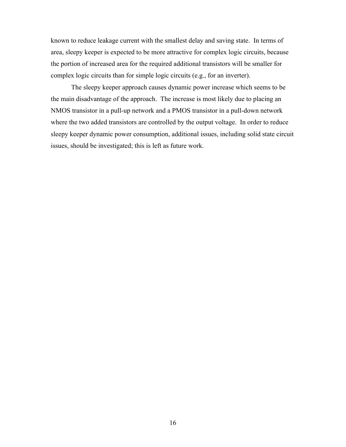known to reduce leakage current with the smallest delay and saving state. In terms of area, sleepy keeper is expected to be more attractive for complex logic circuits, because the portion of increased area for the required additional transistors will be smaller for complex logic circuits than for simple logic circuits (e.g., for an inverter).

The sleepy keeper approach causes dynamic power increase which seems to be the main disadvantage of the approach. The increase is most likely due to placing an NMOS transistor in a pull-up network and a PMOS transistor in a pull-down network where the two added transistors are controlled by the output voltage. In order to reduce sleepy keeper dynamic power consumption, additional issues, including solid state circuit issues, should be investigated; this is left as future work.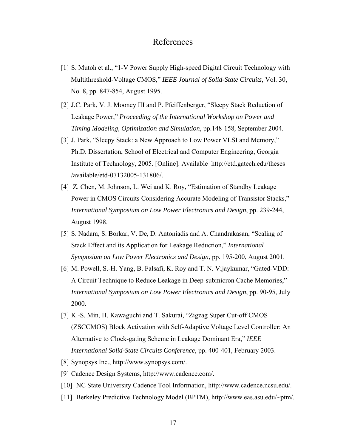## References

- [1] S. Mutoh et al., "1-V Power Supply High-speed Digital Circuit Technology with Multithreshold-Voltage CMOS," *IEEE Journal of Solid-State Circuits*, Vol. 30, No. 8, pp. 847-854, August 1995.
- [2] J.C. Park, V. J. Mooney III and P. Pfeiffenberger, "Sleepy Stack Reduction of Leakage Power," *Proceeding of the International Workshop on Power and Timing Modeling, Optimization and Simulation*, pp.148-158*,* September 2004.
- [3] J. Park, "Sleepy Stack: a New Approach to Low Power VLSI and Memory," Ph.D. Dissertation, School of Electrical and Computer Engineering, Georgia Institute of Technology, 2005. [Online]. Available http://etd.gatech.edu/theses /available/etd-07132005-131806/.
- [4] Z. Chen, M. Johnson, L. Wei and K. Roy, "Estimation of Standby Leakage Power in CMOS Circuits Considering Accurate Modeling of Transistor Stacks," *International Symposium on Low Power Electronics and Design*, pp. 239-244, August 1998.
- [5] S. Nadara, S. Borkar, V. De, D. Antoniadis and A. Chandrakasan, "Scaling of Stack Effect and its Application for Leakage Reduction," *International Symposium on Low Power Electronics and Design*, pp. 195-200, August 2001.
- [6] M. Powell, S.-H. Yang, B. Falsafi, K. Roy and T. N. Vijaykumar, "Gated-VDD: A Circuit Technique to Reduce Leakage in Deep-submicron Cache Memories," *International Symposium on Low Power Electronics and Design*, pp. 90-95, July 2000.
- [7] K.-S. Min, H. Kawaguchi and T. Sakurai, "Zigzag Super Cut-off CMOS (ZSCCMOS) Block Activation with Self-Adaptive Voltage Level Controller: An Alternative to Clock-gating Scheme in Leakage Dominant Era," *IEEE International Solid-State Circuits Conference*, pp. 400-401, February 2003.
- [8] Synopsys Inc., http://www.synopsys.com/.
- [9] Cadence Design Systems, http://www.cadence.com/.
- [10] NC State University Cadence Tool Information, http://www.cadence.ncsu.edu/.
- [11] Berkeley Predictive Technology Model (BPTM), http://www.eas.asu.edu/~ptm/.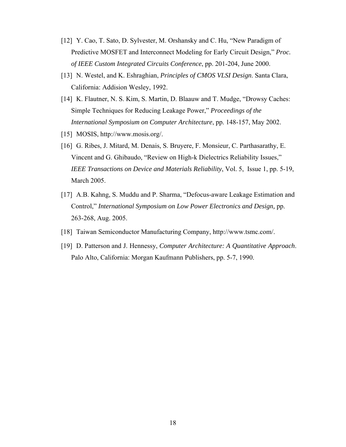- [12] Y. Cao, T. Sato, D. Sylvester, M. Orshansky and C. Hu, "New Paradigm of Predictive MOSFET and Interconnect Modeling for Early Circuit Design," *Proc. of IEEE Custom Integrated Circuits Conference*, pp. 201-204, June 2000.
- [13] N. Westel, and K. Eshraghian, *Principles of CMOS VLSI Design*. Santa Clara, California: Addision Wesley, 1992.
- [14] K. Flautner, N. S. Kim, S. Martin, D. Blaauw and T. Mudge, "Drowsy Caches: Simple Techniques for Reducing Leakage Power," *Proceedings of the International Symposium on Computer Architecture*, pp. 148-157, May 2002.
- [15] MOSIS, http://www.mosis.org/.
- [16] G. Ribes, J. Mitard, M. Denais, S. Bruyere, F. Monsieur, C. Parthasarathy, E. Vincent and G. Ghibaudo, "Review on High-k Dielectrics Reliability Issues," *IEEE Transactions on Device and Materials Reliability*, Vol. 5, Issue 1, pp. 5-19, March 2005.
- [17] A.B. Kahng, S. Muddu and P. Sharma, "Defocus-aware Leakage Estimation and Control," *International Symposium on Low Power Electronics and Design,* pp. 263-268, Aug. 2005.
- [18] Taiwan Semiconductor Manufacturing Company, http://www.tsmc.com/.
- [19] D. Patterson and J. Hennessy, *Computer Architecture: A Quantitative Approach*. Palo Alto, California: Morgan Kaufmann Publishers, pp. 5-7, 1990.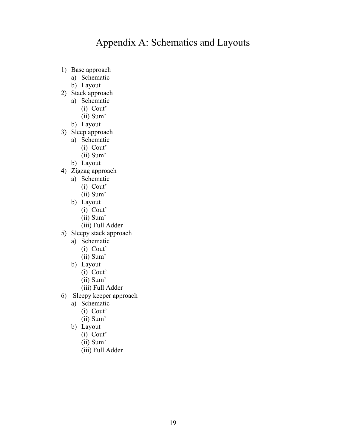## Appendix A: Schematics and Layouts

- 1) Base approach
	- a) Schematic
	- b) Layout
- 2) Stack approach
	- a) Schematic (i) Cout'
		- (ii) Sum'
	- b) Layout
- 3) Sleep approach
	- a) Schematic
		- (i) Cout'
		- (ii) Sum'
	- b) Layout
- 4) Zigzag approach
	- a) Schematic
		- (i) Cout'
		- (ii) Sum'
	- b) Layout
		- (i) Cout'
		- (ii) Sum'
		- (iii) Full Adder
- 5) Sleepy stack approach
	- a) Schematic
		- (i) Cout'
		- (ii) Sum'
	- b) Layout
		- (i) Cout'
		- (ii) Sum'
		- (iii) Full Adder
- 6) Sleepy keeper approach
	- a) Schematic
		- (i) Cout'
		- (ii) Sum'
	- b) Layout
		- (i) Cout'
		- (ii) Sum'
		- (iii) Full Adder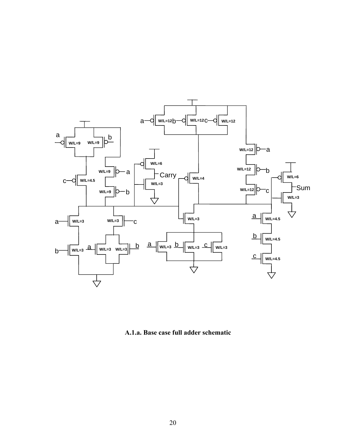

**A.1.a. Base case full adder schematic**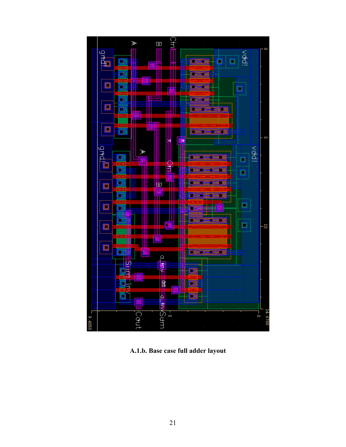

**A.1.b. Base case full adder layout**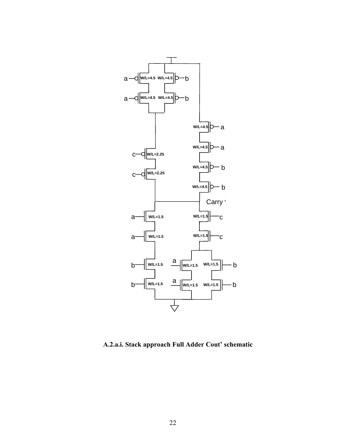

**A.2.a.i. Stack approach Full Adder Cout' schematic**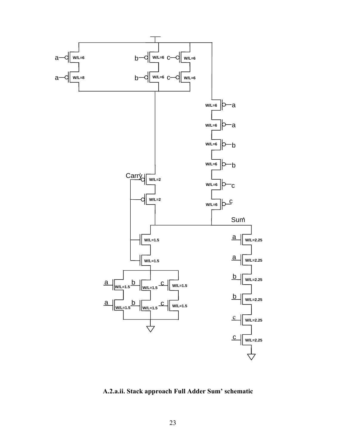

**A.2.a.ii. Stack approach Full Adder Sum' schematic**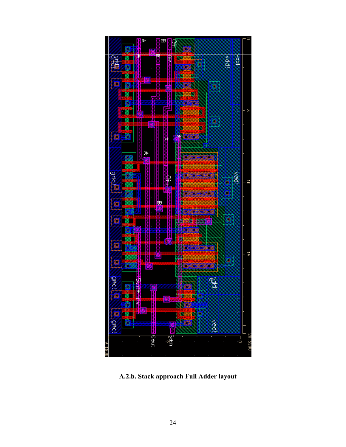

A.2.b. Stack approach Full Adder layout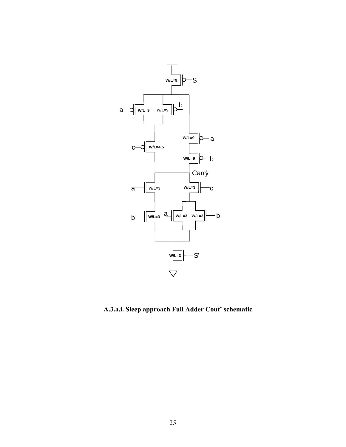

**A.3.a.i. Sleep approach Full Adder Cout' schematic**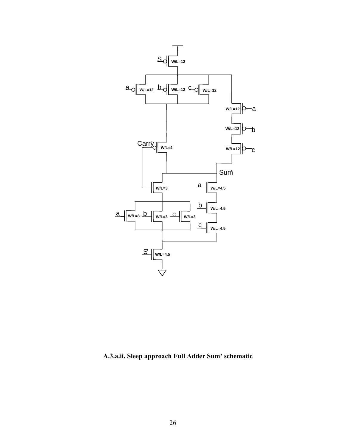

**A.3.a.ii. Sleep approach Full Adder Sum' schematic**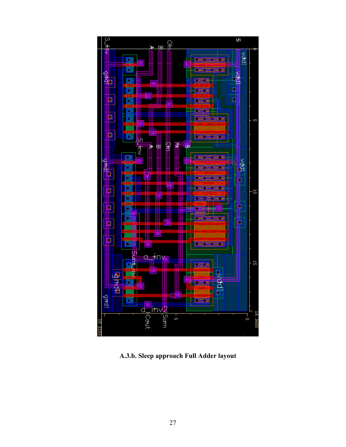

A.3.b. Sleep approach Full Adder layout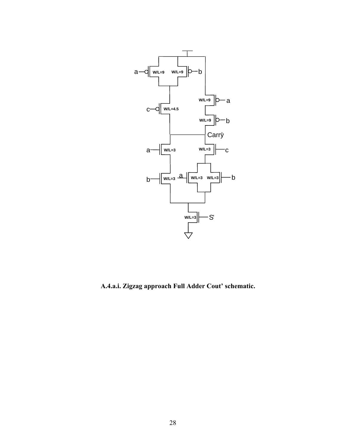

**A.4.a.i. Zigzag approach Full Adder Cout' schematic.**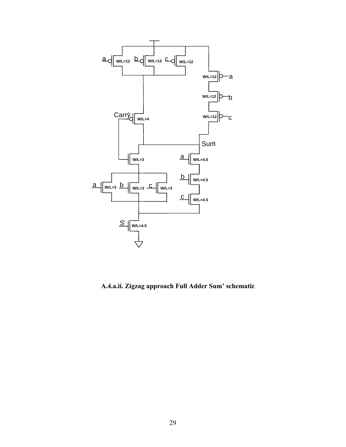

**A.4.a.ii. Zigzag approach Full Adder Sum' schematic**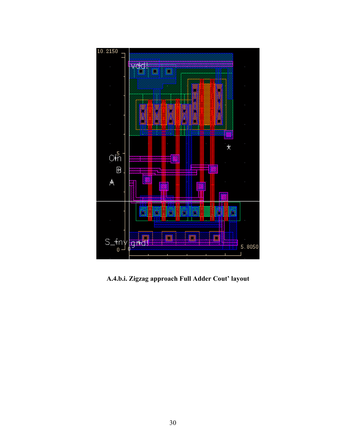

A.4.b.i. Zigzag approach Full Adder Cout' layout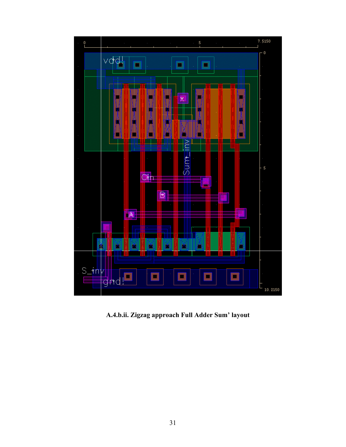

A.4.b.ii. Zigzag approach Full Adder Sum' layout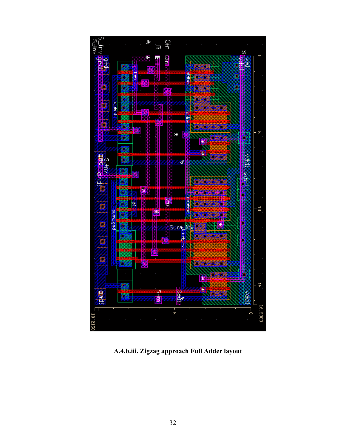

**A.4.b.iii. Zigzag approach Full Adder layout**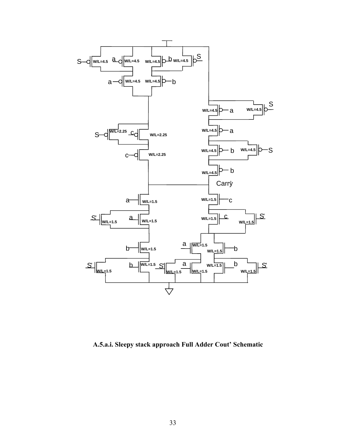

**A.5.a.i. Sleepy stack approach Full Adder Cout' Schematic**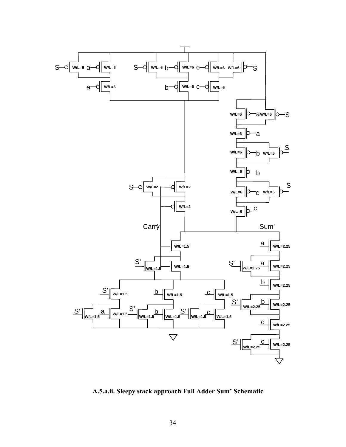

**A.5.a.ii. Sleepy stack approach Full Adder Sum' Schematic**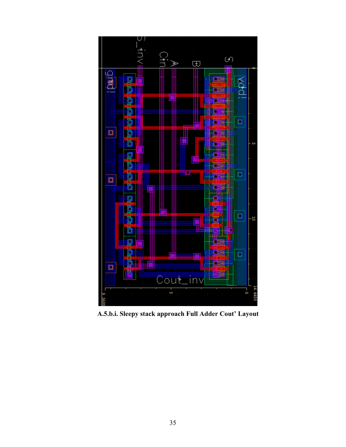

A.5.b.i. Sleepy stack approach Full Adder Cout' Layout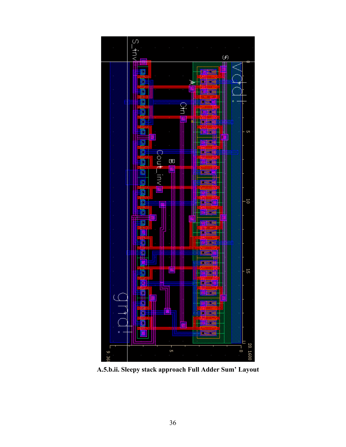

A.5.b.ii. Sleepy stack approach Full Adder Sum' Layout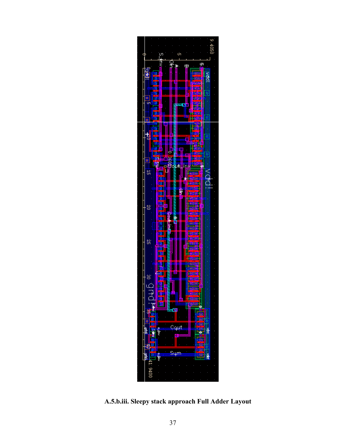

A.5.b.iii. Sleepy stack approach Full Adder Layout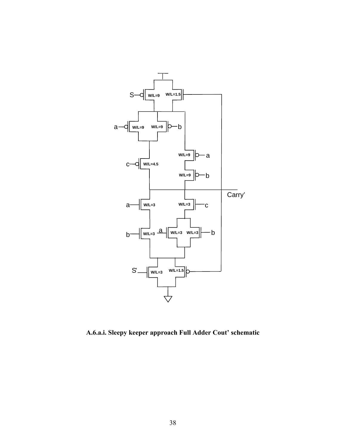

**A.6.a.i. Sleepy keeper approach Full Adder Cout' schematic**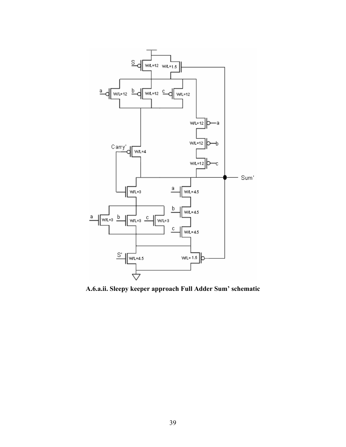

**A.6.a.ii. Sleepy keeper approach Full Adder Sum' schematic**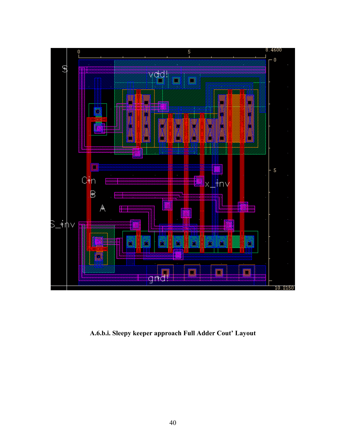

A.6.b.i. Sleepy keeper approach Full Adder Cout' Layout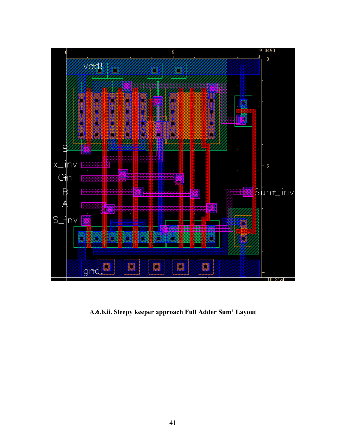

A.6.b.ii. Sleepy keeper approach Full Adder Sum' Layout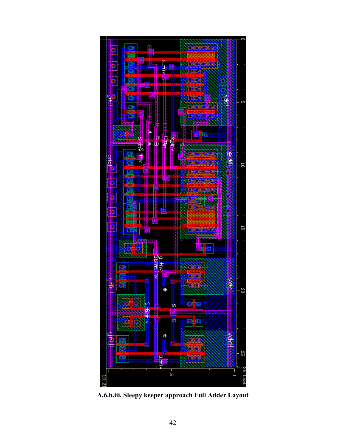

**A.6.b.iii. Sleepy keeper approach Full Adder Layout**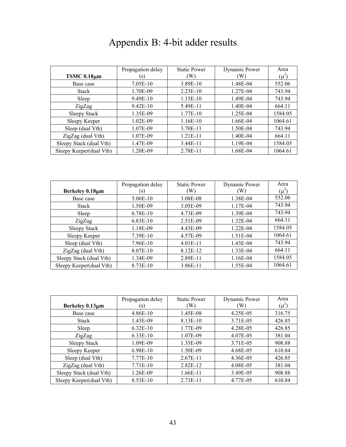# Appendix B: 4-bit adder results

| TSMC 0.18µm             | Propagation delay<br>(s) | <b>Static Power</b><br>(W) | Dynamic Power<br>(W) | Area<br>$(\mu^2)$ |
|-------------------------|--------------------------|----------------------------|----------------------|-------------------|
| Base case               | 7.05E-10                 | 3.89E-10                   | 1.48E-04             | 552.06            |
| <b>Stack</b>            | 1.70E-09                 | $2.23E-10$                 | 1.27E-04             | 743.94            |
| Sleep                   | 9.49E-10                 | 1.15E-10                   | 1.49E-04             | 743.94            |
| ZigZag                  | $9.42E-10$               | 5.49E-11                   | 1.40E-04             | 664.11            |
| <b>Sleepy Stack</b>     | 1.35E-09                 | 1.77E-10                   | 1.25E-04             | 1584.05           |
| Sleepy Keeper           | $1.02E-09$               | 1.16E-10                   | 1.66E-04             | 1064.61           |
| Sleep (dual Vth)        | 1.07E-09                 | 3.70E-11                   | 1.50E-04             | 743.94            |
| ZigZag (dual Vth)       | 1.07E-09                 | 1.21E-11                   | 1.40E-04             | 664.11            |
| Sleepy Stack (dual Vth) | 1.47E-09                 | 3.44E-11                   | 1.19E-04             | 1584.05           |
| Sleepy Keeper(dual Vth) | 1.20E-09                 | 2.78E-11                   | 1.68E-04             | 1064.61           |

|                         | Propagation delay | <b>Static Power</b> | Dynamic Power | Area      |
|-------------------------|-------------------|---------------------|---------------|-----------|
| Berkeley 0.18µm         | (S)               | (W)                 | (W)           | $(\mu^2)$ |
| Base case               | 5.06E-10          | 3.08E-08            | 1.38E-04      | 552.06    |
| <b>Stack</b>            | 1.50E-09          | 3.05E-09            | 1.17E-04      | 743.94    |
| Sleep                   | 6.78E-10          | 4.73E-09            | 1.39E-04      | 743.94    |
| ZigZag                  | 6.83E-10          | 2.51E-09            | 1.32E-04      | 664.11    |
| <b>Sleepy Stack</b>     | 1.18E-09          | 4.43E-09            | 1.22E-04      | 1584.05   |
| Sleepy Keeper           | 7.39E-10          | 4.57E-09            | 1.51E-04      | 1064.61   |
| Sleep (dual Vth)        | 7.96E-10          | $4.01E-11$          | 1.43E-04      | 743.94    |
| ZigZag (dual Vth)       | 8.07E-10          | 8.12E-12            | 1.33E-04      | 664.11    |
| Sleepy Stack (dual Vth) | 1.34E-09          | 2.89E-11            | 1.16E-04      | 1584.05   |
| Sleepy Keeper(dual Vth) | 8.73E-10          | 3.86E-11            | 1.55E-04      | 1064.61   |

|                         | Propagation delay | <b>Static Power</b> | Dynamic Power | Area      |
|-------------------------|-------------------|---------------------|---------------|-----------|
| Berkeley 0.13µm         | $\left( s\right)$ | (W)                 | (W)           | $(\mu^2)$ |
| Base case               | 4.86E-10          | 1.45E-08            | 4.25E-05      | 316.75    |
| <b>Stack</b>            | 1.43E-09          | 8.13E-10            | 3.71E-05      | 426.85    |
| Sleep                   | $6.32E-10$        | 1.77E-09            | 4.28E-05      | 426.85    |
| ZigZag                  | $6.33E-10$        | 1.07E-09            | 4.07E-05      | 381.04    |
| <b>Sleepy Stack</b>     | 1.09E-09          | 1.35E-09            | 3.71E-05      | 908.88    |
| Sleepy Keeper           | 6.98E-10          | 1.50E-09            | 4.68E-05      | 610.84    |
| Sleep (dual Vth)        | 7.77E-10          | $2.67E-11$          | 4.36E-05      | 426.85    |
| ZigZag (dual Vth)       | 7.71E-10          | 2.82E-12            | 4.08E-05      | 381.04    |
| Sleepy Stack (dual Vth) | 1.26E-09          | 1.66E-11            | 3.49E-05      | 908.88    |
| Sleepy Keeper(dual Vth) | 8.53E-10          | $2.73E-11$          | 4.77E-05      | 610.84    |